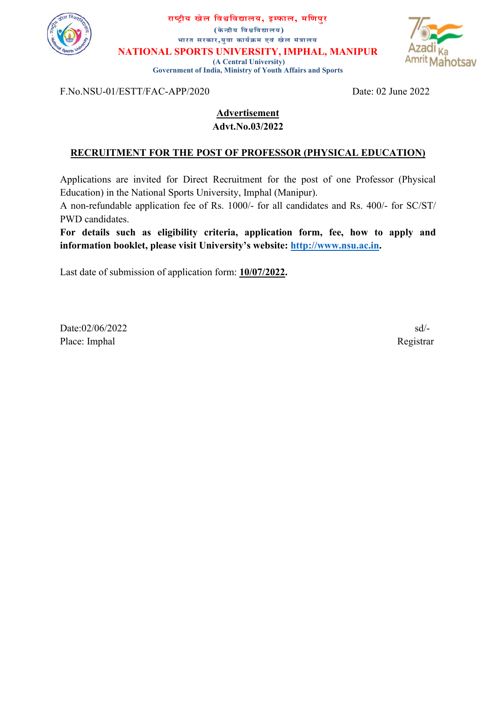

राष्ट्रीय खेल विश्वविद्यालय, इम्फाल, मणिपुर (केÆþीय िवĵिवīालय) भारत सरकार,युवा कार्यक्रम एवं खेल मंत्रालय

NATIONAL SPORTS UNIVERSITY, IMPHAL, MANIPUR

 (A Central University) Government of India, Ministry of Youth Affairs and Sports



F.No.NSU-01/ESTT/FAC-APP/2020 Date: 02 June 2022

### Advertisement Advt.No.03/2022

# RECRUITMENT FOR THE POST OF PROFESSOR (PHYSICAL EDUCATION)

Applications are invited for Direct Recruitment for the post of one Professor (Physical Education) in the National Sports University, Imphal (Manipur).

A non-refundable application fee of Rs. 1000/- for all candidates and Rs. 400/- for SC/ST/ PWD candidates.

For details such as eligibility criteria, application form, fee, how to apply and information booklet, please visit University's website: http://www.nsu.ac.in.

Last date of submission of application form: 10/07/2022.

 $Date:02/06/2022$  sd<sup>/-</sup> Place: Imphal Registrar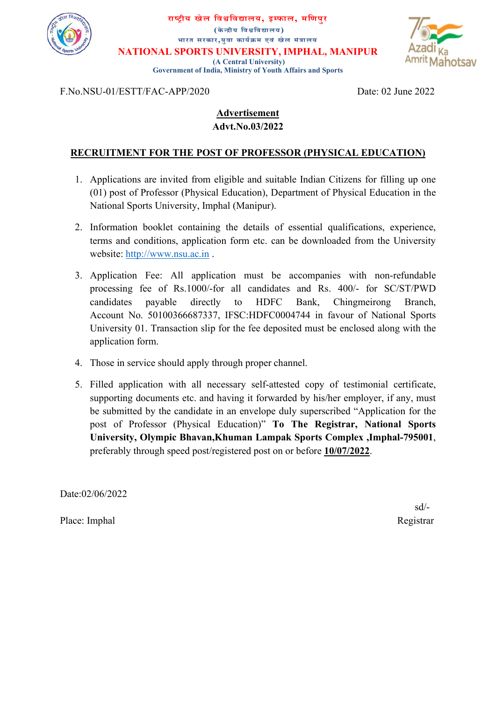

राष्ट्रीय खेल विश्वविद्यालय, इम्फाल, मणिपुर (केन्द्रीय विश्वविद्यालय) भारत सरकार,युवा कार्यक्रम एवं खेल मंत्रालय NATIONAL SPORTS UNIVERSITY, IMPHAL, MANIPUR

 (A Central University) Government of India, Ministry of Youth Affairs and Sports



F.No.NSU-01/ESTT/FAC-APP/2020 Date: 02 June 2022

# Advertisement Advt.No.03/2022

# RECRUITMENT FOR THE POST OF PROFESSOR (PHYSICAL EDUCATION)

- 1. Applications are invited from eligible and suitable Indian Citizens for filling up one (01) post of Professor (Physical Education), Department of Physical Education in the National Sports University, Imphal (Manipur).
- 2. Information booklet containing the details of essential qualifications, experience, terms and conditions, application form etc. can be downloaded from the University website: http://www.nsu.ac.in .
- 3. Application Fee: All application must be accompanies with non-refundable processing fee of Rs.1000/-for all candidates and Rs. 400/- for SC/ST/PWD candidates payable directly to HDFC Bank, Chingmeirong Branch, Account No. 50100366687337, IFSC:HDFC0004744 in favour of National Sports University 01. Transaction slip for the fee deposited must be enclosed along with the application form.
- 4. Those in service should apply through proper channel.
- 5. Filled application with all necessary self-attested copy of testimonial certificate, supporting documents etc. and having it forwarded by his/her employer, if any, must be submitted by the candidate in an envelope duly superscribed "Application for the post of Professor (Physical Education)" To The Registrar, National Sports University, Olympic Bhavan,Khuman Lampak Sports Complex ,Imphal-795001, preferably through speed post/registered post on or before 10/07/2022.

Date:02/06/2022

Place: Imphal Registrar

sd/-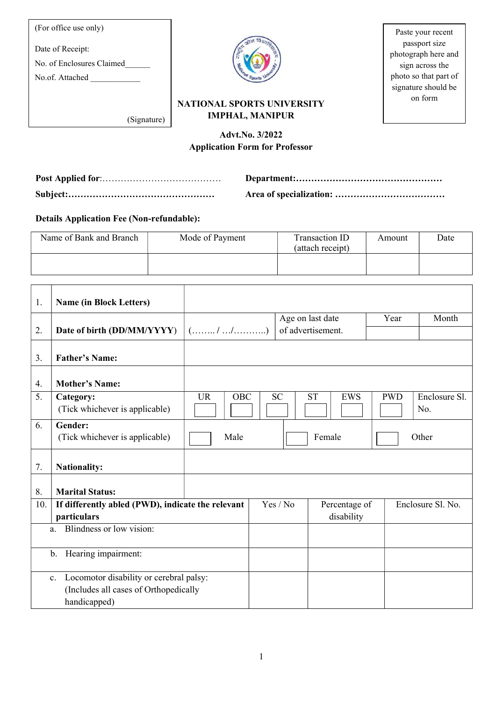| (For office use only)                                            |                                                             | Paste your recent                                                                                       |
|------------------------------------------------------------------|-------------------------------------------------------------|---------------------------------------------------------------------------------------------------------|
| Date of Receipt:<br>No. of Enclosures Claimed<br>No.of. Attached |                                                             | passport size<br>photograph here and<br>sign across the<br>photo so that part of<br>signature should be |
| (Signature)                                                      | <b>NATIONAL SPORTS UNIVERSITY</b><br><b>IMPHAL, MANIPUR</b> | on form                                                                                                 |

# Advt.No. 3/2022 Application Form for Professor

Details Application Fee (Non-refundable):

 $\mathbf{r}$ 

| Name of Bank and Branch | Mode of Payment | Transaction ID<br>(attach receipt) | Amount | Date |
|-------------------------|-----------------|------------------------------------|--------|------|
|                         |                 |                                    |        |      |

| 1.                                                                                                                 | <b>Name (in Block Letters)</b>                                   |                         |  |                                       |                             |            |                      |
|--------------------------------------------------------------------------------------------------------------------|------------------------------------------------------------------|-------------------------|--|---------------------------------------|-----------------------------|------------|----------------------|
| 2.                                                                                                                 | Date of birth (DD/MM/YYYY)                                       | (//)]                   |  | Age on last date<br>of advertisement. |                             | Year       | Month                |
| 3.                                                                                                                 | <b>Father's Name:</b>                                            |                         |  |                                       |                             |            |                      |
| 4.                                                                                                                 | <b>Mother's Name:</b>                                            |                         |  |                                       |                             |            |                      |
| 5.                                                                                                                 | Category:<br>(Tick whichever is applicable)                      | <b>UR</b><br><b>OBC</b> |  | <b>SC</b><br><b>ST</b>                | <b>EWS</b>                  | <b>PWD</b> | Enclosure Sl.<br>No. |
| 6.                                                                                                                 | Gender:<br>(Tick whichever is applicable)                        | Male                    |  |                                       | Female                      |            | Other                |
| 7.                                                                                                                 | <b>Nationality:</b>                                              |                         |  |                                       |                             |            |                      |
| 8.                                                                                                                 | <b>Marital Status:</b>                                           |                         |  |                                       |                             |            |                      |
| 10.                                                                                                                | If differently abled (PWD), indicate the relevant<br>particulars |                         |  | Yes / No                              | Percentage of<br>disability |            | Enclosure Sl. No.    |
|                                                                                                                    | Blindness or low vision:<br>a.                                   |                         |  |                                       |                             |            |                      |
| Hearing impairment:<br>b.                                                                                          |                                                                  |                         |  |                                       |                             |            |                      |
| Locomotor disability or cerebral palsy:<br>$\mathbf{c}$ .<br>(Includes all cases of Orthopedically<br>handicapped) |                                                                  |                         |  |                                       |                             |            |                      |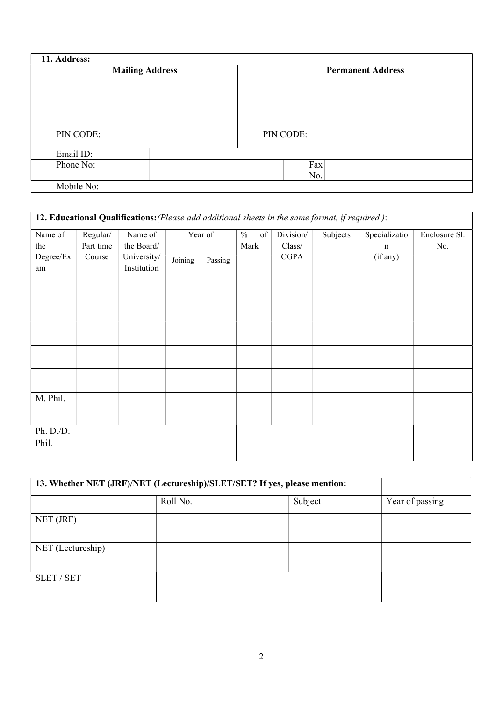| 11. Address: |                        |                          |
|--------------|------------------------|--------------------------|
|              | <b>Mailing Address</b> | <b>Permanent Address</b> |
|              |                        |                          |
|              |                        |                          |
|              |                        |                          |
|              |                        |                          |
| PIN CODE:    |                        | PIN CODE:                |
|              |                        |                          |
| Email ID:    |                        |                          |
| Phone No:    |                        | Fax                      |
|              |                        | No.                      |
| Mobile No:   |                        |                          |

| 12. Educational Qualifications: (Please add additional sheets in the same format, if required): |           |             |         |         |                     |             |          |               |               |  |  |
|-------------------------------------------------------------------------------------------------|-----------|-------------|---------|---------|---------------------|-------------|----------|---------------|---------------|--|--|
| Name of                                                                                         | Regular/  | Name of     |         | Year of | $\frac{0}{0}$<br>of | Division/   | Subjects | Specializatio | Enclosure Sl. |  |  |
| the                                                                                             | Part time | the Board/  |         |         | Mark                | Class/      |          | $\mathbf n$   | No.           |  |  |
| Degree/Ex                                                                                       | Course    | University/ | Joining | Passing |                     | <b>CGPA</b> |          | (if any)      |               |  |  |
| am                                                                                              |           | Institution |         |         |                     |             |          |               |               |  |  |
|                                                                                                 |           |             |         |         |                     |             |          |               |               |  |  |
|                                                                                                 |           |             |         |         |                     |             |          |               |               |  |  |
|                                                                                                 |           |             |         |         |                     |             |          |               |               |  |  |
|                                                                                                 |           |             |         |         |                     |             |          |               |               |  |  |
|                                                                                                 |           |             |         |         |                     |             |          |               |               |  |  |
|                                                                                                 |           |             |         |         |                     |             |          |               |               |  |  |
|                                                                                                 |           |             |         |         |                     |             |          |               |               |  |  |
|                                                                                                 |           |             |         |         |                     |             |          |               |               |  |  |
|                                                                                                 |           |             |         |         |                     |             |          |               |               |  |  |
|                                                                                                 |           |             |         |         |                     |             |          |               |               |  |  |
| M. Phil.                                                                                        |           |             |         |         |                     |             |          |               |               |  |  |
|                                                                                                 |           |             |         |         |                     |             |          |               |               |  |  |
|                                                                                                 |           |             |         |         |                     |             |          |               |               |  |  |
| Ph. D./D.                                                                                       |           |             |         |         |                     |             |          |               |               |  |  |
| Phil.                                                                                           |           |             |         |         |                     |             |          |               |               |  |  |
|                                                                                                 |           |             |         |         |                     |             |          |               |               |  |  |

| 13. Whether NET (JRF)/NET (Lectureship)/SLET/SET? If yes, please mention: |          |         |                 |
|---------------------------------------------------------------------------|----------|---------|-----------------|
|                                                                           | Roll No. | Subject | Year of passing |
| NET (JRF)                                                                 |          |         |                 |
| NET (Lectureship)                                                         |          |         |                 |
| <b>SLET / SET</b>                                                         |          |         |                 |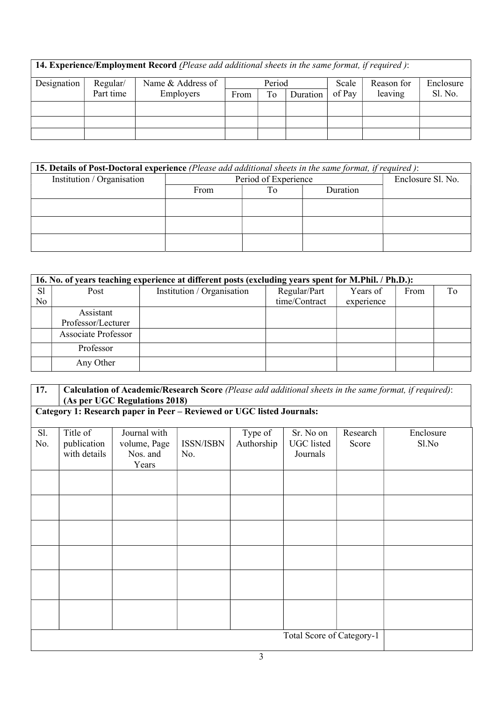14. Experience/Employment Record (Please add additional sheets in the same format, if required): Designation Regular/ Part time Name & Address of Employers Period Scale of Pay Reason for leaving Enclosure<br>Sl. No. From  $\vert$  To.  $\vert$  Duration

| <b>15. Details of Post-Doctoral experience</b> (Please add additional sheets in the same format, if required): |      |                      |  |                   |  |  |  |  |  |  |  |
|----------------------------------------------------------------------------------------------------------------|------|----------------------|--|-------------------|--|--|--|--|--|--|--|
| Institution / Organisation                                                                                     |      | Period of Experience |  | Enclosure Sl. No. |  |  |  |  |  |  |  |
|                                                                                                                | From |                      |  |                   |  |  |  |  |  |  |  |
|                                                                                                                |      |                      |  |                   |  |  |  |  |  |  |  |
|                                                                                                                |      |                      |  |                   |  |  |  |  |  |  |  |
|                                                                                                                |      |                      |  |                   |  |  |  |  |  |  |  |

|                      | 16. No. of years teaching experience at different posts (excluding years spent for M.Phil. / Ph.D.): |                            |                               |                        |      |    |  |  |  |  |  |  |  |
|----------------------|------------------------------------------------------------------------------------------------------|----------------------------|-------------------------------|------------------------|------|----|--|--|--|--|--|--|--|
| S <sub>1</sub><br>No | Post                                                                                                 | Institution / Organisation | Regular/Part<br>time/Contract | Years of<br>experience | From | To |  |  |  |  |  |  |  |
|                      | Assistant<br>Professor/Lecturer                                                                      |                            |                               |                        |      |    |  |  |  |  |  |  |  |
|                      | <b>Associate Professor</b>                                                                           |                            |                               |                        |      |    |  |  |  |  |  |  |  |
|                      | Professor                                                                                            |                            |                               |                        |      |    |  |  |  |  |  |  |  |
|                      | Any Other                                                                                            |                            |                               |                        |      |    |  |  |  |  |  |  |  |

| 17.        | Calculation of Academic/Research Score (Please add additional sheets in the same format, if required): |                                   |                         |            |                               |  |  |  |  |  |  |  |  |  |
|------------|--------------------------------------------------------------------------------------------------------|-----------------------------------|-------------------------|------------|-------------------------------|--|--|--|--|--|--|--|--|--|
|            | (As per UGC Regulations 2018)<br>Category 1: Research paper in Peer - Reviewed or UGC listed Journals: |                                   |                         |            |                               |  |  |  |  |  |  |  |  |  |
| Sl.<br>No. | Title of<br>publication                                                                                | Research<br>Score                 | Enclosure<br>Sl.No      |            |                               |  |  |  |  |  |  |  |  |  |
|            | with details                                                                                           | volume, Page<br>Nos. and<br>Years | <b>ISSN/ISBN</b><br>No. | Authorship | <b>UGC</b> listed<br>Journals |  |  |  |  |  |  |  |  |  |
|            |                                                                                                        |                                   |                         |            |                               |  |  |  |  |  |  |  |  |  |
|            |                                                                                                        |                                   |                         |            |                               |  |  |  |  |  |  |  |  |  |
|            |                                                                                                        |                                   |                         |            |                               |  |  |  |  |  |  |  |  |  |
|            |                                                                                                        |                                   |                         |            |                               |  |  |  |  |  |  |  |  |  |
|            |                                                                                                        |                                   |                         |            |                               |  |  |  |  |  |  |  |  |  |
|            |                                                                                                        |                                   |                         |            |                               |  |  |  |  |  |  |  |  |  |
|            |                                                                                                        |                                   |                         |            | Total Score of Category-1     |  |  |  |  |  |  |  |  |  |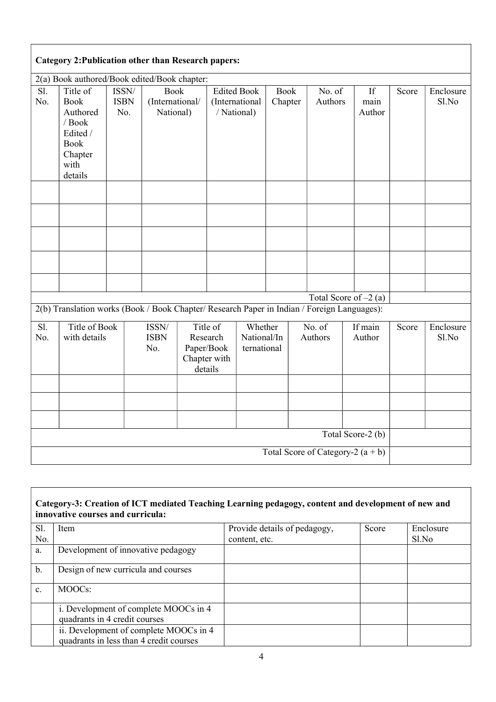|                          | <b>Category 2: Publication other than Research papers:</b>                                             |                             |                                             |                     |                                        |                                       |                        |  |                         |                      |       |                    |
|--------------------------|--------------------------------------------------------------------------------------------------------|-----------------------------|---------------------------------------------|---------------------|----------------------------------------|---------------------------------------|------------------------|--|-------------------------|----------------------|-------|--------------------|
|                          | 2(a) Book authored/Book edited/Book chapter:                                                           |                             |                                             |                     |                                        |                                       |                        |  |                         |                      |       |                    |
| $\overline{SI}$ .<br>No. | Title of<br><b>Book</b><br>Authored<br>/ Book<br>Edited /<br><b>Book</b><br>Chapter<br>with<br>details | ISSN/<br><b>ISBN</b><br>No. | <b>Book</b><br>(International/<br>National) |                     | / National)                            | <b>Edited Book</b><br>(International  | <b>Book</b><br>Chapter |  | No. of<br>Authors       | If<br>main<br>Author | Score | Enclosure<br>Sl.No |
|                          |                                                                                                        |                             |                                             |                     |                                        |                                       |                        |  |                         |                      |       |                    |
|                          |                                                                                                        |                             |                                             |                     |                                        |                                       |                        |  |                         |                      |       |                    |
|                          |                                                                                                        |                             |                                             |                     |                                        |                                       |                        |  | Total Score of $-2$ (a) |                      |       |                    |
|                          | 2(b) Translation works (Book / Book Chapter/ Research Paper in Indian / Foreign Languages):            |                             |                                             |                     |                                        |                                       |                        |  |                         |                      |       |                    |
| Sl.<br>No.               | Title of Book<br>with details                                                                          |                             | ISSN/<br><b>ISBN</b><br>No.                 | Research<br>details | Title of<br>Paper/Book<br>Chapter with | Whether<br>National/In<br>ternational |                        |  | No. of<br>Authors       | If main<br>Author    | Score | Enclosure<br>Sl.No |
|                          |                                                                                                        |                             |                                             |                     |                                        |                                       |                        |  |                         |                      |       |                    |
|                          |                                                                                                        |                             |                                             |                     |                                        |                                       |                        |  |                         |                      |       |                    |
|                          |                                                                                                        |                             |                                             |                     |                                        |                                       |                        |  |                         |                      |       |                    |
|                          |                                                                                                        |                             |                                             |                     |                                        |                                       |                        |  |                         | Total Score-2 (b)    |       |                    |
|                          | Total Score of Category-2 $(a + b)$                                                                    |                             |                                             |                     |                                        |                                       |                        |  |                         |                      |       |                    |

# Category-3: Creation of ICT mediated Teaching Learning pedagogy, content and development of new and innovative courses and curricula:

| Sl.            | Item                                    | Provide details of pedagogy, | Score | Enclosure |
|----------------|-----------------------------------------|------------------------------|-------|-----------|
| No.            |                                         | content, etc.                |       | Sl.No     |
| a.             | Development of innovative pedagogy      |                              |       |           |
| $b$ .          | Design of new curricula and courses     |                              |       |           |
| $\mathbf{c}$ . | MOOCs:                                  |                              |       |           |
|                | i. Development of complete MOOCs in 4   |                              |       |           |
|                | quadrants in 4 credit courses           |                              |       |           |
|                | ii. Development of complete MOOCs in 4  |                              |       |           |
|                | quadrants in less than 4 credit courses |                              |       |           |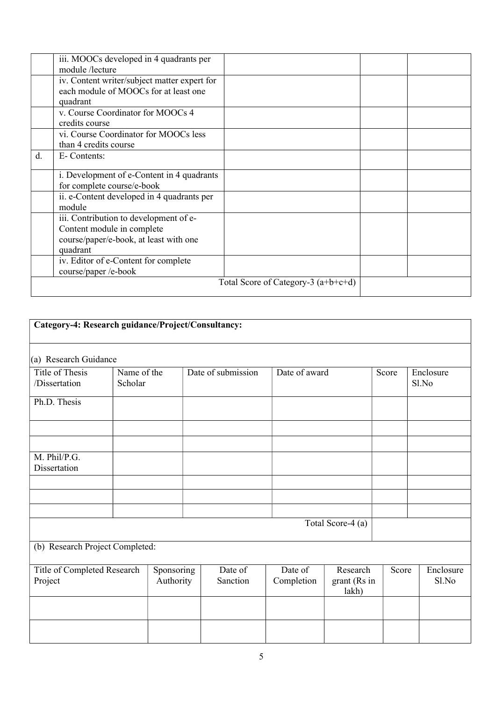|    | iii. MOOCs developed in 4 quadrants per<br>module/lecture                                                                  |                                       |  |
|----|----------------------------------------------------------------------------------------------------------------------------|---------------------------------------|--|
|    | iv. Content writer/subject matter expert for<br>each module of MOOCs for at least one<br>quadrant                          |                                       |  |
|    | v. Course Coordinator for MOOCs 4<br>credits course                                                                        |                                       |  |
|    | vi. Course Coordinator for MOOCs less<br>than 4 credits course                                                             |                                       |  |
| d. | E-Contents:                                                                                                                |                                       |  |
|    | i. Development of e-Content in 4 quadrants<br>for complete course/e-book                                                   |                                       |  |
|    | ii. e-Content developed in 4 quadrants per<br>module                                                                       |                                       |  |
|    | iii. Contribution to development of e-<br>Content module in complete<br>course/paper/e-book, at least with one<br>quadrant |                                       |  |
|    | iv. Editor of e-Content for complete<br>course/paper /e-book                                                               |                                       |  |
|    |                                                                                                                            | Total Score of Category-3 $(a+b+c+d)$ |  |

| Category-4: Research guidance/Project/Consultancy: |                        |                         |  |                     |                       |                                   |       |                    |
|----------------------------------------------------|------------------------|-------------------------|--|---------------------|-----------------------|-----------------------------------|-------|--------------------|
| (a) Research Guidance                              |                        |                         |  |                     |                       |                                   |       |                    |
| Title of Thesis<br>/Dissertation                   | Name of the<br>Scholar |                         |  | Date of submission  | Date of award         |                                   | Score | Enclosure<br>Sl.No |
| Ph.D. Thesis                                       |                        |                         |  |                     |                       |                                   |       |                    |
|                                                    |                        |                         |  |                     |                       |                                   |       |                    |
| M. Phil/P.G.<br>Dissertation                       |                        |                         |  |                     |                       |                                   |       |                    |
|                                                    |                        |                         |  |                     |                       |                                   |       |                    |
|                                                    |                        |                         |  |                     |                       |                                   |       |                    |
|                                                    |                        |                         |  |                     |                       | Total Score-4 (a)                 |       |                    |
| (b) Research Project Completed:                    |                        |                         |  |                     |                       |                                   |       |                    |
| Title of Completed Research<br>Project             |                        | Sponsoring<br>Authority |  | Date of<br>Sanction | Date of<br>Completion | Research<br>grant (Rs in<br>lakh) | Score | Enclosure<br>Sl.No |
|                                                    |                        |                         |  |                     |                       |                                   |       |                    |
|                                                    |                        |                         |  |                     |                       |                                   |       |                    |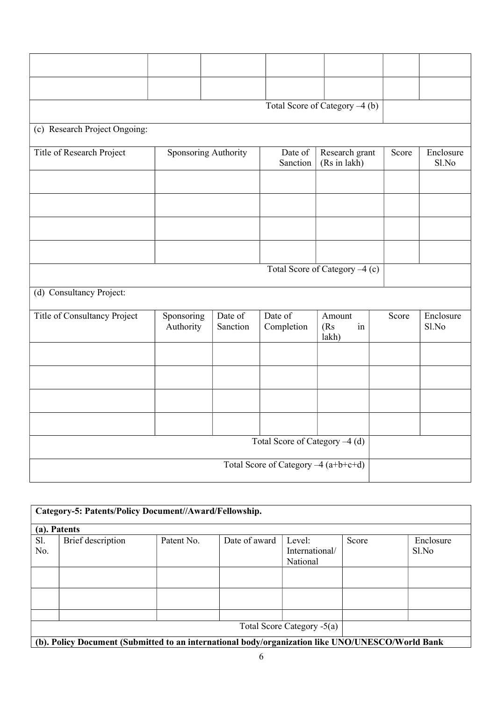|                               |                             |                     |                                      | Total Score of Category -4 (b) |       |                    |
|-------------------------------|-----------------------------|---------------------|--------------------------------------|--------------------------------|-------|--------------------|
| (c) Research Project Ongoing: |                             |                     |                                      |                                |       |                    |
| Title of Research Project     | <b>Sponsoring Authority</b> |                     | Date of<br>Sanction                  | Research grant<br>(Rs in lakh) | Score | Enclosure<br>Sl.No |
|                               |                             |                     |                                      |                                |       |                    |
|                               |                             |                     |                                      |                                |       |                    |
|                               |                             |                     |                                      | Total Score of Category -4 (c) |       |                    |
| (d) Consultancy Project:      |                             |                     |                                      |                                |       |                    |
| Title of Consultancy Project  | Sponsoring<br>Authority     | Date of<br>Sanction | Date of<br>Completion                | Amount<br>(Rs)<br>in<br>lakh)  | Score | Enclosure<br>Sl.No |
|                               |                             |                     |                                      |                                |       |                    |
|                               |                             |                     |                                      |                                |       |                    |
|                               |                             |                     |                                      |                                |       |                    |
|                               |                             |                     |                                      |                                |       |                    |
|                               |                             |                     | Total Score of Category -4 (d)       |                                |       |                    |
|                               |                             |                     | Total Score of Category -4 (a+b+c+d) |                                |       |                    |

|              | Category-5: Patents/Policy Document//Award/Fellowship.                                           |            |               |                                      |       |                    |
|--------------|--------------------------------------------------------------------------------------------------|------------|---------------|--------------------------------------|-------|--------------------|
| (a). Patents |                                                                                                  |            |               |                                      |       |                    |
| Sl.<br>No.   | Brief description                                                                                | Patent No. | Date of award | Level:<br>International/<br>National | Score | Enclosure<br>Sl.No |
|              |                                                                                                  |            |               | Total Score Category -5(a)           |       |                    |
|              | (b). Policy Document (Submitted to an international body/organization like UNO/UNESCO/World Bank |            |               |                                      |       |                    |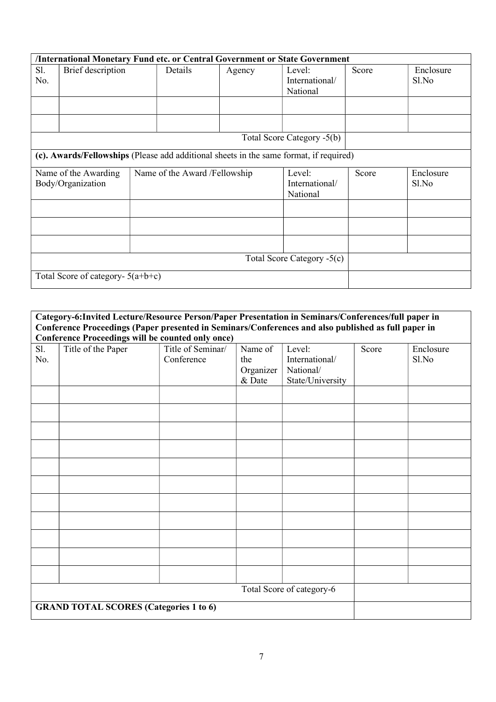|                                           | <b>/International Monetary Fund etc. or Central Government or State Government</b> |                                                                                        |        |                                      |       |                    |
|-------------------------------------------|------------------------------------------------------------------------------------|----------------------------------------------------------------------------------------|--------|--------------------------------------|-------|--------------------|
| Sl.<br>No.                                | Brief description                                                                  | Details                                                                                | Agency | Level:<br>International/<br>National | Score | Enclosure<br>Sl.No |
|                                           |                                                                                    |                                                                                        |        |                                      |       |                    |
|                                           |                                                                                    |                                                                                        |        | Total Score Category -5(b)           |       |                    |
|                                           |                                                                                    | (c). Awards/Fellowships (Please add additional sheets in the same format, if required) |        |                                      |       |                    |
| Name of the Awarding<br>Body/Organization |                                                                                    | Name of the Award /Fellowship                                                          |        | Level:<br>International/<br>National | Score | Enclosure<br>Sl.No |
|                                           |                                                                                    |                                                                                        |        |                                      |       |                    |
|                                           |                                                                                    |                                                                                        |        |                                      |       |                    |
|                                           |                                                                                    |                                                                                        |        |                                      |       |                    |
|                                           |                                                                                    |                                                                                        |        | Total Score Category -5(c)           |       |                    |
|                                           | Total Score of category- $5(a+b+c)$                                                |                                                                                        |        |                                      |       |                    |

| Category-6: Invited Lecture/Resource Person/Paper Presentation in Seminars/Conferences/full paper in<br>Conference Proceedings (Paper presented in Seminars/Conferences and also published as full paper in<br><b>Conference Proceedings will be counted only once)</b> |                                               |                                 |                                       |                                                           |       |                    |
|-------------------------------------------------------------------------------------------------------------------------------------------------------------------------------------------------------------------------------------------------------------------------|-----------------------------------------------|---------------------------------|---------------------------------------|-----------------------------------------------------------|-------|--------------------|
| Sl.<br>No.                                                                                                                                                                                                                                                              | Title of the Paper                            | Title of Seminar/<br>Conference | Name of<br>the<br>Organizer<br>& Date | Level:<br>International/<br>National/<br>State/University | Score | Enclosure<br>Sl.No |
|                                                                                                                                                                                                                                                                         |                                               |                                 |                                       |                                                           |       |                    |
|                                                                                                                                                                                                                                                                         |                                               |                                 |                                       |                                                           |       |                    |
|                                                                                                                                                                                                                                                                         |                                               |                                 |                                       |                                                           |       |                    |
|                                                                                                                                                                                                                                                                         | <b>GRAND TOTAL SCORES (Categories 1 to 6)</b> |                                 |                                       | Total Score of category-6                                 |       |                    |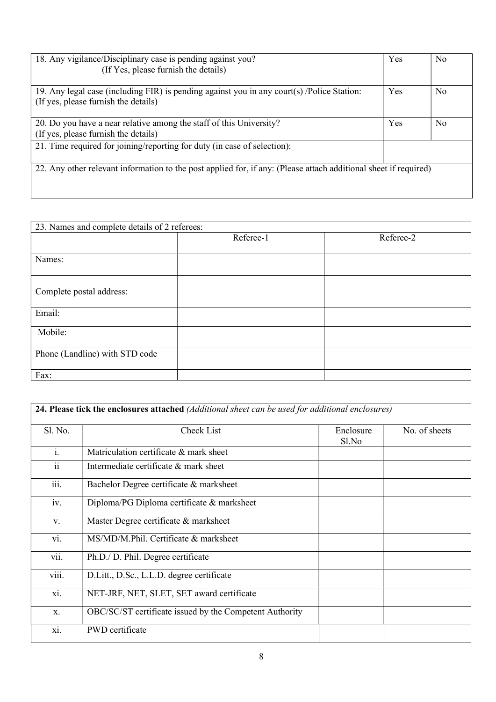| 18. Any vigilance/Disciplinary case is pending against you?<br>(If Yes, please furnish the details)                                | Yes | N <sub>0</sub> |
|------------------------------------------------------------------------------------------------------------------------------------|-----|----------------|
| 19. Any legal case (including FIR) is pending against you in any court(s) /Police Station:<br>(If yes, please furnish the details) | Yes | N <sub>0</sub> |
| 20. Do you have a near relative among the staff of this University?<br>(If yes, please furnish the details)                        | Yes | N <sub>0</sub> |
| 21. Time required for joining/reporting for duty (in case of selection):                                                           |     |                |
| 22. Any other relevant information to the post applied for, if any: (Please attach additional sheet if required)                   |     |                |

| 23. Names and complete details of 2 referees: |           |           |  |  |
|-----------------------------------------------|-----------|-----------|--|--|
|                                               | Referee-1 | Referee-2 |  |  |
|                                               |           |           |  |  |
| Names:                                        |           |           |  |  |
|                                               |           |           |  |  |
|                                               |           |           |  |  |
| Complete postal address:                      |           |           |  |  |
|                                               |           |           |  |  |
| Email:                                        |           |           |  |  |
| Mobile:                                       |           |           |  |  |
|                                               |           |           |  |  |
| Phone (Landline) with STD code                |           |           |  |  |
|                                               |           |           |  |  |
| Fax:                                          |           |           |  |  |
|                                               |           |           |  |  |

|                     | <b>24. Please tick the enclosures attached</b> (Additional sheet can be used for additional enclosures) |                    |               |
|---------------------|---------------------------------------------------------------------------------------------------------|--------------------|---------------|
| Sl. No.             | Check List                                                                                              | Enclosure<br>Sl.No | No. of sheets |
| $\mathbf{i}$ .      | Matriculation certificate & mark sheet                                                                  |                    |               |
| $\ddot{\mathbf{i}}$ | Intermediate certificate & mark sheet                                                                   |                    |               |
| iii.                | Bachelor Degree certificate & marksheet                                                                 |                    |               |
| iv.                 | Diploma/PG Diploma certificate & marksheet                                                              |                    |               |
| V.                  | Master Degree certificate & marksheet                                                                   |                    |               |
| vi.                 | MS/MD/M.Phil. Certificate & marksheet                                                                   |                    |               |
| vii.                | Ph.D./ D. Phil. Degree certificate                                                                      |                    |               |
| viii.               | D.Litt., D.Sc., L.L.D. degree certificate                                                               |                    |               |
| xi.                 | NET-JRF, NET, SLET, SET award certificate                                                               |                    |               |
| X.                  | OBC/SC/ST certificate issued by the Competent Authority                                                 |                    |               |
| xi.                 | <b>PWD</b> certificate                                                                                  |                    |               |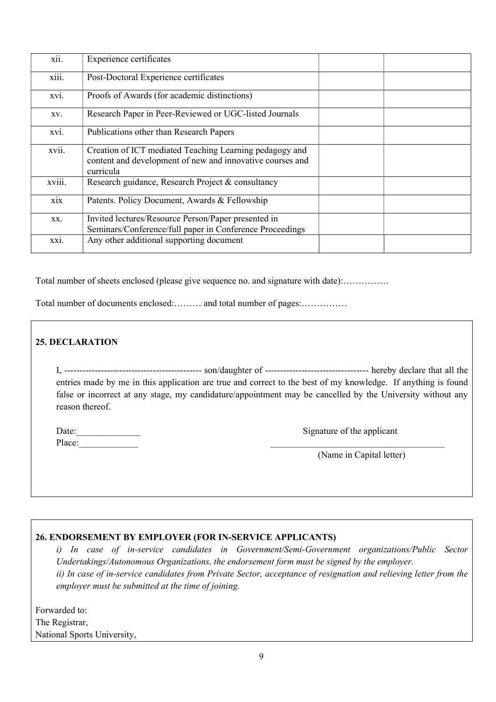| xii.              | Experience certificates                                                                                                           |  |
|-------------------|-----------------------------------------------------------------------------------------------------------------------------------|--|
| $\cdots$<br>X111. | Post-Doctoral Experience certificates                                                                                             |  |
| xvi.              | Proofs of Awards (for academic distinctions)                                                                                      |  |
| XV.               | Research Paper in Peer-Reviewed or UGC-listed Journals                                                                            |  |
| XV1.              | Publications other than Research Papers                                                                                           |  |
| xvii.             | Creation of ICT mediated Teaching Learning pedagogy and<br>content and development of new and innovative courses and<br>curricula |  |
| xviii.            | Research guidance, Research Project & consultancy                                                                                 |  |
| xix               | Patents. Policy Document, Awards & Fellowship                                                                                     |  |
| XX.               | Invited lectures/Resource Person/Paper presented in<br>Seminars/Conference/full paper in Conference Proceedings                   |  |
| XX1.              | Any other additional supporting document                                                                                          |  |

Total number of sheets enclosed (please give sequence no. and signature with date):……………

Total number of documents enclosed:……… and total number of pages:……………

#### 25. DECLARATION

| entries made by me in this application are true and correct to the best of my knowledge. If anything is found |  |  |
|---------------------------------------------------------------------------------------------------------------|--|--|
| false or incorrect at any stage, my candidature/appointment may be cancelled by the University without any    |  |  |
| reason thereof.                                                                                               |  |  |

| Date:  | Signature of the applicant |
|--------|----------------------------|
| Place: |                            |

Signature of the applicant

(Name in Capital letter)

#### 26. ENDORSEMENT BY EMPLOYER (FOR IN-SERVICE APPLICANTS)

i) In case of in-service candidates in Government/Semi-Government organizations/Public Sector Undertakings/Autonomous Organizations, the endorsement form must be signed by the employer. ii) In case of in-service candidates from Private Sector, acceptance of resignation and relieving letter from the employer must be submitted at the time of joining.

| Forwarded to:               |
|-----------------------------|
| The Registrar,              |
| National Sports University, |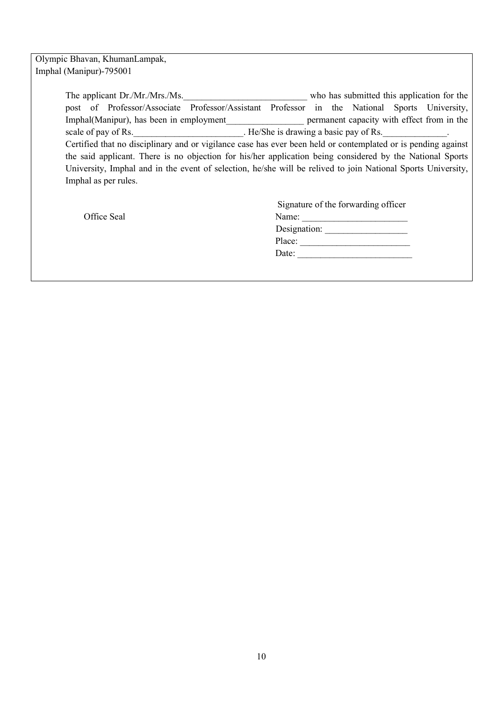#### Olympic Bhavan, KhumanLampak, Imphal (Manipur)-795001

| The applicant Dr./Mr./Mrs./Ms.                                                                                |                                                                                       |  |  | who has submitted this application for the                                                   |  |  |  |  |  |  |
|---------------------------------------------------------------------------------------------------------------|---------------------------------------------------------------------------------------|--|--|----------------------------------------------------------------------------------------------|--|--|--|--|--|--|
|                                                                                                               |                                                                                       |  |  | post of Professor/Associate Professor/Assistant Professor in the National Sports University, |  |  |  |  |  |  |
|                                                                                                               | permanent capacity with effect from in the<br>Imphal(Manipur), has been in employment |  |  |                                                                                              |  |  |  |  |  |  |
|                                                                                                               | . He/She is drawing a basic pay of Rs.<br>scale of pay of Rs.                         |  |  |                                                                                              |  |  |  |  |  |  |
| Certified that no disciplinary and or vigilance case has ever been held or contemplated or is pending against |                                                                                       |  |  |                                                                                              |  |  |  |  |  |  |
| the said applicant. There is no objection for his/her application being considered by the National Sports     |                                                                                       |  |  |                                                                                              |  |  |  |  |  |  |
| University, Imphal and in the event of selection, he/she will be relived to join National Sports University,  |                                                                                       |  |  |                                                                                              |  |  |  |  |  |  |
| Imphal as per rules.                                                                                          |                                                                                       |  |  |                                                                                              |  |  |  |  |  |  |
|                                                                                                               |                                                                                       |  |  |                                                                                              |  |  |  |  |  |  |

Office Seal

| Signature of the forwarding officer |
|-------------------------------------|
| Name:                               |
| Designation:                        |
| Place:                              |
| Date:                               |
|                                     |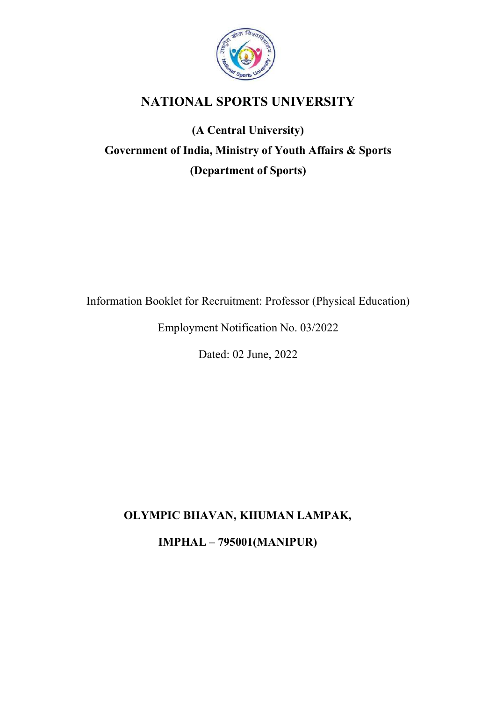

# NATIONAL SPORTS UNIVERSITY

# (A Central University) Government of India, Ministry of Youth Affairs & Sports (Department of Sports)

Information Booklet for Recruitment: Professor (Physical Education)

Employment Notification No. 03/2022

Dated: 02 June, 2022

# OLYMPIC BHAVAN, KHUMAN LAMPAK,

IMPHAL – 795001(MANIPUR)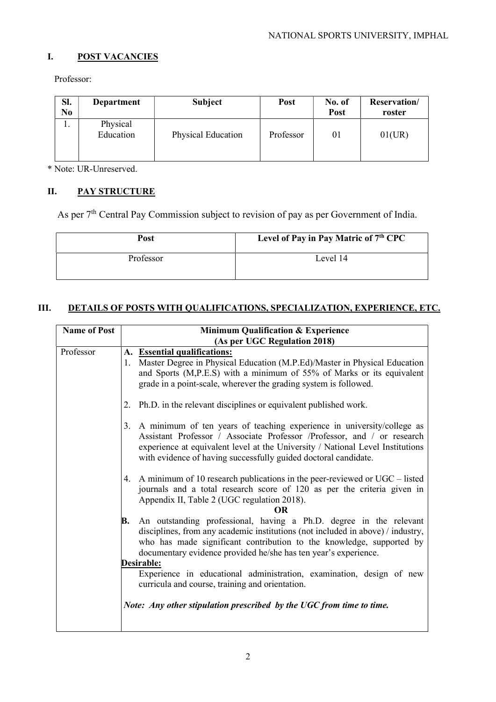#### I. POST VACANCIES

Professor:

| Sl.<br>N <sub>0</sub> | Department            | <b>Subject</b>            | Post      | No. of<br>Post | <b>Reservation</b> /<br>roster |
|-----------------------|-----------------------|---------------------------|-----------|----------------|--------------------------------|
| .,                    | Physical<br>Education | <b>Physical Education</b> | Professor | 01             | 01(UR)                         |

\* Note: UR-Unreserved.

# II. PAY STRUCTURE

As per 7<sup>th</sup> Central Pay Commission subject to revision of pay as per Government of India.

| Post      | Level of Pay in Pay Matric of 7 <sup>th</sup> CPC |
|-----------|---------------------------------------------------|
| Professor | Level 14                                          |

# III. DETAILS OF POSTS WITH QUALIFICATIONS, SPECIALIZATION, EXPERIENCE, ETC.

| <b>Name of Post</b> | <b>Minimum Qualification &amp; Experience</b>                                                                                                                                                                                                                                                                |  |  |
|---------------------|--------------------------------------------------------------------------------------------------------------------------------------------------------------------------------------------------------------------------------------------------------------------------------------------------------------|--|--|
|                     | (As per UGC Regulation 2018)                                                                                                                                                                                                                                                                                 |  |  |
| Professor           | A. Essential qualifications:                                                                                                                                                                                                                                                                                 |  |  |
|                     | Master Degree in Physical Education (M.P.Ed)/Master in Physical Education<br>1.<br>and Sports (M,P.E.S) with a minimum of 55% of Marks or its equivalent<br>grade in a point-scale, wherever the grading system is followed.                                                                                 |  |  |
|                     | Ph.D. in the relevant disciplines or equivalent published work.<br>2.                                                                                                                                                                                                                                        |  |  |
|                     | A minimum of ten years of teaching experience in university/college as<br>3.<br>Assistant Professor / Associate Professor /Professor, and / or research<br>experience at equivalent level at the University / National Level Institutions<br>with evidence of having successfully guided doctoral candidate. |  |  |
|                     | 4. A minimum of 10 research publications in the peer-reviewed or UGC – listed<br>journals and a total research score of 120 as per the criteria given in<br>Appendix II, Table 2 (UGC regulation 2018).<br><b>OR</b>                                                                                         |  |  |
|                     | An outstanding professional, having a Ph.D. degree in the relevant<br>В.<br>disciplines, from any academic institutions (not included in above) / industry,<br>who has made significant contribution to the knowledge, supported by<br>documentary evidence provided he/she has ten year's experience.       |  |  |
|                     | Desirable:                                                                                                                                                                                                                                                                                                   |  |  |
|                     | Experience in educational administration, examination, design of new<br>curricula and course, training and orientation.                                                                                                                                                                                      |  |  |
|                     | Note: Any other stipulation prescribed by the UGC from time to time.                                                                                                                                                                                                                                         |  |  |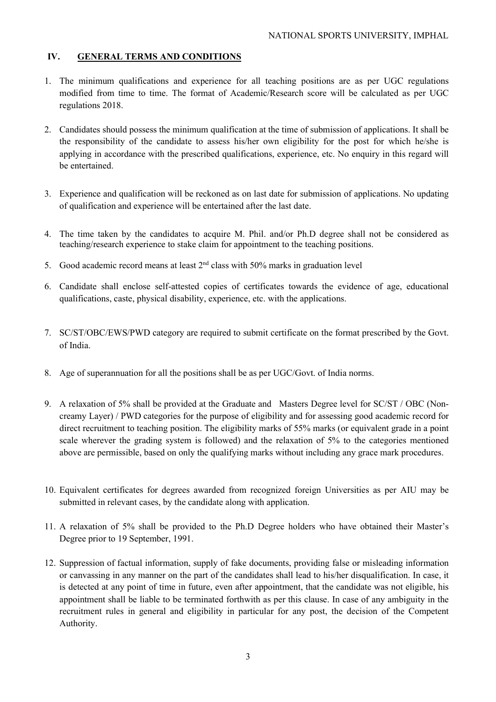#### IV. GENERAL TERMS AND CONDITIONS

- 1. The minimum qualifications and experience for all teaching positions are as per UGC regulations modified from time to time. The format of Academic/Research score will be calculated as per UGC regulations 2018.
- 2. Candidates should possess the minimum qualification at the time of submission of applications. It shall be the responsibility of the candidate to assess his/her own eligibility for the post for which he/she is applying in accordance with the prescribed qualifications, experience, etc. No enquiry in this regard will be entertained.
- 3. Experience and qualification will be reckoned as on last date for submission of applications. No updating of qualification and experience will be entertained after the last date.
- 4. The time taken by the candidates to acquire M. Phil. and/or Ph.D degree shall not be considered as teaching/research experience to stake claim for appointment to the teaching positions.
- 5. Good academic record means at least  $2<sup>nd</sup>$  class with 50% marks in graduation level
- 6. Candidate shall enclose self-attested copies of certificates towards the evidence of age, educational qualifications, caste, physical disability, experience, etc. with the applications.
- 7. SC/ST/OBC/EWS/PWD category are required to submit certificate on the format prescribed by the Govt. of India.
- 8. Age of superannuation for all the positions shall be as per UGC/Govt. of India norms.
- 9. A relaxation of 5% shall be provided at the Graduate and Masters Degree level for SC/ST / OBC (Noncreamy Layer) / PWD categories for the purpose of eligibility and for assessing good academic record for direct recruitment to teaching position. The eligibility marks of 55% marks (or equivalent grade in a point scale wherever the grading system is followed) and the relaxation of 5% to the categories mentioned above are permissible, based on only the qualifying marks without including any grace mark procedures.
- 10. Equivalent certificates for degrees awarded from recognized foreign Universities as per AIU may be submitted in relevant cases, by the candidate along with application.
- 11. A relaxation of 5% shall be provided to the Ph.D Degree holders who have obtained their Master's Degree prior to 19 September, 1991.
- 12. Suppression of factual information, supply of fake documents, providing false or misleading information or canvassing in any manner on the part of the candidates shall lead to his/her disqualification. In case, it is detected at any point of time in future, even after appointment, that the candidate was not eligible, his appointment shall be liable to be terminated forthwith as per this clause. In case of any ambiguity in the recruitment rules in general and eligibility in particular for any post, the decision of the Competent Authority.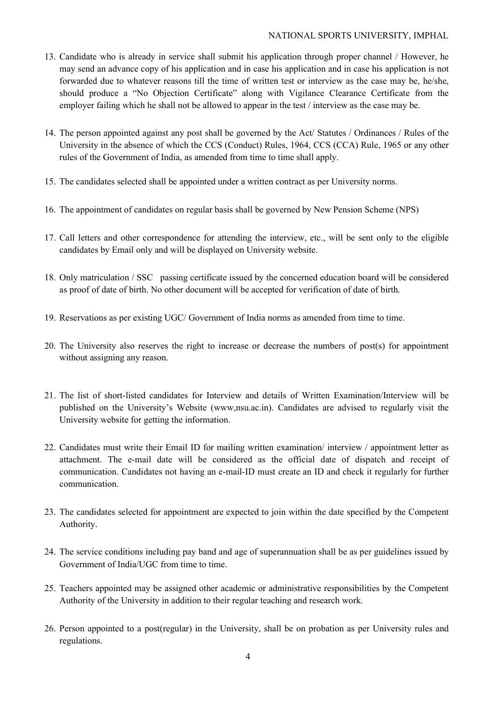#### NATIONAL SPORTS UNIVERSITY, IMPHAL

- 13. Candidate who is already in service shall submit his application through proper channel / However, he may send an advance copy of his application and in case his application and in case his application is not forwarded due to whatever reasons till the time of written test or interview as the case may be, he/she, should produce a "No Objection Certificate" along with Vigilance Clearance Certificate from the employer failing which he shall not be allowed to appear in the test / interview as the case may be.
- 14. The person appointed against any post shall be governed by the Act/ Statutes / Ordinances / Rules of the University in the absence of which the CCS (Conduct) Rules, 1964, CCS (CCA) Rule, 1965 or any other rules of the Government of India, as amended from time to time shall apply.
- 15. The candidates selected shall be appointed under a written contract as per University norms.
- 16. The appointment of candidates on regular basis shall be governed by New Pension Scheme (NPS)
- 17. Call letters and other correspondence for attending the interview, etc., will be sent only to the eligible candidates by Email only and will be displayed on University website.
- 18. Only matriculation / SSC passing certificate issued by the concerned education board will be considered as proof of date of birth. No other document will be accepted for verification of date of birth.
- 19. Reservations as per existing UGC/ Government of India norms as amended from time to time.
- 20. The University also reserves the right to increase or decrease the numbers of post(s) for appointment without assigning any reason.
- 21. The list of short-listed candidates for Interview and details of Written Examination/Interview will be published on the University's Website (www,nsu.ac.in). Candidates are advised to regularly visit the University website for getting the information.
- 22. Candidates must write their Email ID for mailing written examination/ interview / appointment letter as attachment. The e-mail date will be considered as the official date of dispatch and receipt of communication. Candidates not having an e-mail-ID must create an ID and check it regularly for further communication.
- 23. The candidates selected for appointment are expected to join within the date specified by the Competent Authority.
- 24. The service conditions including pay band and age of superannuation shall be as per guidelines issued by Government of India/UGC from time to time.
- 25. Teachers appointed may be assigned other academic or administrative responsibilities by the Competent Authority of the University in addition to their regular teaching and research work.
- 26. Person appointed to a post(regular) in the University, shall be on probation as per University rules and regulations.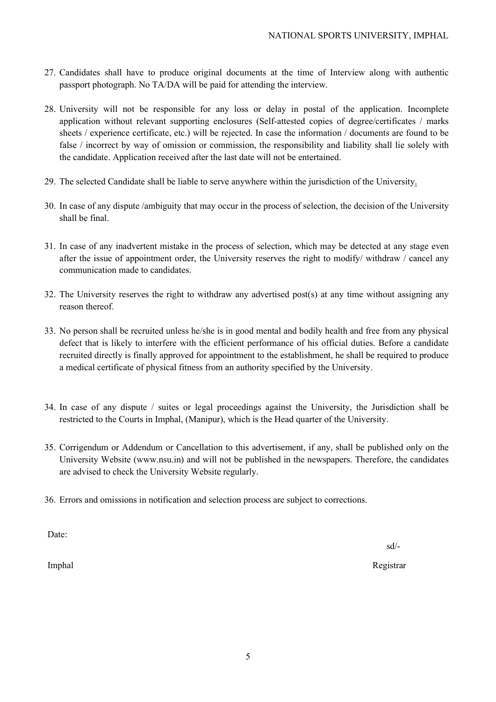- 27. Candidates shall have to produce original documents at the time of Interview along with authentic passport photograph. No TA/DA will be paid for attending the interview.
- 28. University will not be responsible for any loss or delay in postal of the application. Incomplete application without relevant supporting enclosures (Self-attested copies of degree/certificates / marks sheets / experience certificate, etc.) will be rejected. In case the information / documents are found to be false / incorrect by way of omission or commission, the responsibility and liability shall lie solely with the candidate. Application received after the last date will not be entertained.
- 29. The selected Candidate shall be liable to serve anywhere within the jurisdiction of the University.
- 30. In case of any dispute /ambiguity that may occur in the process of selection, the decision of the University shall be final.
- 31. In case of any inadvertent mistake in the process of selection, which may be detected at any stage even after the issue of appointment order, the University reserves the right to modify/ withdraw / cancel any communication made to candidates.
- 32. The University reserves the right to withdraw any advertised post(s) at any time without assigning any reason thereof.
- 33. No person shall be recruited unless he/she is in good mental and bodily health and free from any physical defect that is likely to interfere with the efficient performance of his official duties. Before a candidate recruited directly is finally approved for appointment to the establishment, he shall be required to produce a medical certificate of physical fitness from an authority specified by the University.
- 34. In case of any dispute / suites or legal proceedings against the University, the Jurisdiction shall be restricted to the Courts in Imphal, (Manipur), which is the Head quarter of the University.
- 35. Corrigendum or Addendum or Cancellation to this advertisement, if any, shall be published only on the University Website (www.nsu.in) and will not be published in the newspapers. Therefore, the candidates are advised to check the University Website regularly.
- 36. Errors and omissions in notification and selection process are subject to corrections.

Date:

sd/-

Imphal Registrar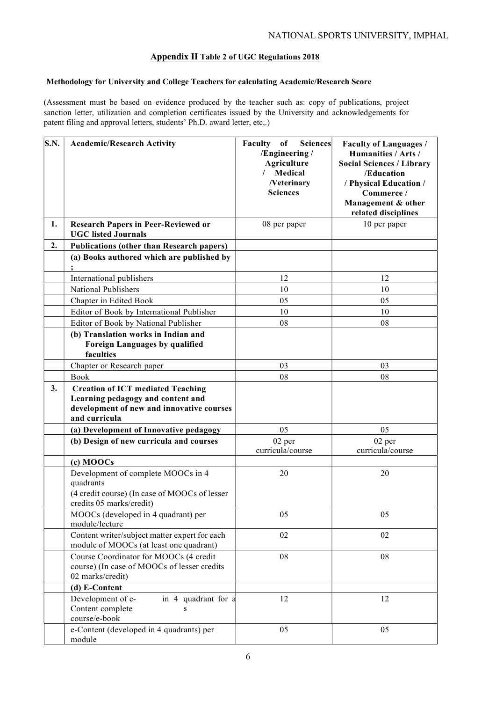#### Appendix II Table 2 of UGC Regulations 2018

#### Methodology for University and College Teachers for calculating Academic/Research Score

(Assessment must be based on evidence produced by the teacher such as: copy of publications, project sanction letter, utilization and completion certificates issued by the University and acknowledgements for patent filing and approval letters, students' Ph.D. award letter, etc,.)

| S.N. | <b>Academic/Research Activity</b>                                                                                                           | Faculty of<br><b>Sciences</b><br>/Engineering /<br>Agriculture<br>Medical<br>/Veterinary<br><b>Sciences</b> | <b>Faculty of Languages /</b><br>Humanities / Arts /<br><b>Social Sciences / Library</b><br>/Education<br>/ Physical Education /<br>Commerce /<br>Management & other<br>related disciplines |
|------|---------------------------------------------------------------------------------------------------------------------------------------------|-------------------------------------------------------------------------------------------------------------|---------------------------------------------------------------------------------------------------------------------------------------------------------------------------------------------|
| 1.   | <b>Research Papers in Peer-Reviewed or</b><br><b>UGC</b> listed Journals                                                                    | 08 per paper                                                                                                | 10 per paper                                                                                                                                                                                |
| 2.   | <b>Publications (other than Research papers)</b>                                                                                            |                                                                                                             |                                                                                                                                                                                             |
|      | (a) Books authored which are published by                                                                                                   |                                                                                                             |                                                                                                                                                                                             |
|      | International publishers                                                                                                                    | 12                                                                                                          | 12                                                                                                                                                                                          |
|      | <b>National Publishers</b>                                                                                                                  | 10                                                                                                          | 10                                                                                                                                                                                          |
|      | Chapter in Edited Book                                                                                                                      | 05                                                                                                          | 05                                                                                                                                                                                          |
|      | Editor of Book by International Publisher                                                                                                   | 10                                                                                                          | 10                                                                                                                                                                                          |
|      | Editor of Book by National Publisher                                                                                                        | 08                                                                                                          | 08                                                                                                                                                                                          |
|      | (b) Translation works in Indian and<br>Foreign Languages by qualified<br>faculties                                                          |                                                                                                             |                                                                                                                                                                                             |
|      | Chapter or Research paper                                                                                                                   | 03                                                                                                          | 03                                                                                                                                                                                          |
|      | <b>Book</b>                                                                                                                                 | 08                                                                                                          | 08                                                                                                                                                                                          |
| 3.   | <b>Creation of ICT mediated Teaching</b><br>Learning pedagogy and content and<br>development of new and innovative courses<br>and curricula |                                                                                                             |                                                                                                                                                                                             |
|      | (a) Development of Innovative pedagogy                                                                                                      | 05                                                                                                          | 05                                                                                                                                                                                          |
|      | (b) Design of new curricula and courses                                                                                                     | 02 per<br>curricula/course                                                                                  | 02 per<br>curricula/course                                                                                                                                                                  |
|      | (c) MOOCs                                                                                                                                   |                                                                                                             |                                                                                                                                                                                             |
|      | Development of complete MOOCs in 4<br>quadrants<br>(4 credit course) (In case of MOOCs of lesser<br>credits 05 marks/credit)                | 20                                                                                                          | 20                                                                                                                                                                                          |
|      | MOOCs (developed in 4 quadrant) per<br>module/lecture                                                                                       | 05                                                                                                          | 05                                                                                                                                                                                          |
|      | Content writer/subject matter expert for each<br>module of MOOCs (at least one quadrant)                                                    | 02                                                                                                          | 02                                                                                                                                                                                          |
|      | Course Coordinator for MOOCs (4 credit<br>course) (In case of MOOCs of lesser credits<br>02 marks/credit)                                   | 08                                                                                                          | 08                                                                                                                                                                                          |
|      | (d) E-Content                                                                                                                               |                                                                                                             |                                                                                                                                                                                             |
|      | Development of e-<br>in 4 quadrant for a<br>Content complete<br>course/e-book                                                               | 12                                                                                                          | 12                                                                                                                                                                                          |
|      | e-Content (developed in 4 quadrants) per<br>module                                                                                          | 05                                                                                                          | 05                                                                                                                                                                                          |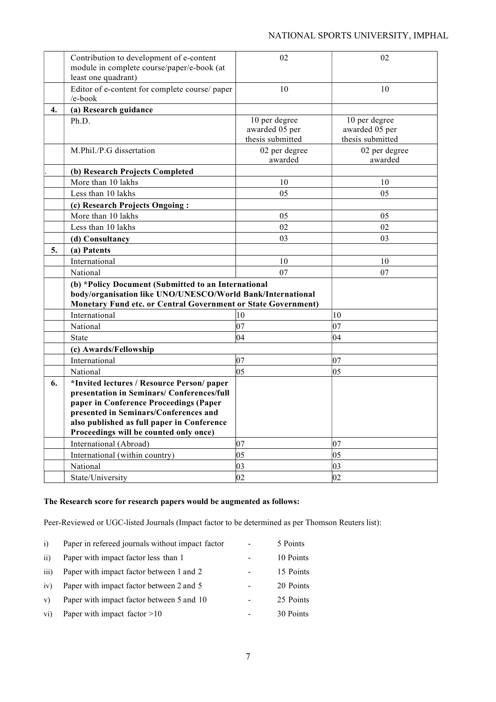#### NATIONAL SPORTS UNIVERSITY, IMPHAL

|    | Contribution to development of e-content<br>module in complete course/paper/e-book (at<br>least one quadrant)                                                                                                                                                       | 02                                                  | 02                                                  |
|----|---------------------------------------------------------------------------------------------------------------------------------------------------------------------------------------------------------------------------------------------------------------------|-----------------------------------------------------|-----------------------------------------------------|
|    | Editor of e-content for complete course/ paper<br>/e-book                                                                                                                                                                                                           | 10                                                  | 10                                                  |
| 4. | (a) Research guidance                                                                                                                                                                                                                                               |                                                     |                                                     |
|    | Ph.D.                                                                                                                                                                                                                                                               | 10 per degree<br>awarded 05 per<br>thesis submitted | 10 per degree<br>awarded 05 per<br>thesis submitted |
|    | M.Phil./P.G dissertation                                                                                                                                                                                                                                            | 02 per degree<br>awarded                            | 02 per degree<br>awarded                            |
|    | (b) Research Projects Completed                                                                                                                                                                                                                                     |                                                     |                                                     |
|    | More than 10 lakhs                                                                                                                                                                                                                                                  | 10                                                  | 10                                                  |
|    | Less than 10 lakhs                                                                                                                                                                                                                                                  | 05                                                  | 05                                                  |
|    | (c) Research Projects Ongoing:                                                                                                                                                                                                                                      |                                                     |                                                     |
|    | More than 10 lakhs                                                                                                                                                                                                                                                  | 05                                                  | 05                                                  |
|    | Less than 10 lakhs                                                                                                                                                                                                                                                  | 02                                                  | 02                                                  |
|    | (d) Consultancy                                                                                                                                                                                                                                                     | 03                                                  | 03                                                  |
| 5. | (a) Patents                                                                                                                                                                                                                                                         |                                                     |                                                     |
|    | International                                                                                                                                                                                                                                                       | 10                                                  | 10                                                  |
|    | National                                                                                                                                                                                                                                                            | 07                                                  | 07                                                  |
|    | (b) *Policy Document (Submitted to an International<br>body/organisation like UNO/UNESCO/World Bank/International<br><b>Monetary Fund etc. or Central Government or State Government)</b>                                                                           |                                                     |                                                     |
|    | International                                                                                                                                                                                                                                                       | 10                                                  | 10                                                  |
|    | National                                                                                                                                                                                                                                                            | $ 07\rangle$                                        | $ 07\rangle$                                        |
|    | <b>State</b>                                                                                                                                                                                                                                                        | $ 04\rangle$                                        | $ 04\rangle$                                        |
|    | (c) Awards/Fellowship                                                                                                                                                                                                                                               |                                                     |                                                     |
|    | International                                                                                                                                                                                                                                                       | 07                                                  | 07                                                  |
|    | National                                                                                                                                                                                                                                                            | $ 05\rangle$                                        | $ 05\rangle$                                        |
| 6. | *Invited lectures / Resource Person/ paper<br>presentation in Seminars/ Conferences/full<br>paper in Conference Proceedings (Paper<br>presented in Seminars/Conferences and<br>also published as full paper in Conference<br>Proceedings will be counted only once) |                                                     |                                                     |
|    | International (Abroad)                                                                                                                                                                                                                                              | $ 07\rangle$                                        | 07                                                  |
|    | International (within country)                                                                                                                                                                                                                                      | $ 05\rangle$                                        | $ 05\rangle$                                        |
|    | National                                                                                                                                                                                                                                                            | 03                                                  | 03                                                  |
|    | State/University                                                                                                                                                                                                                                                    | 02                                                  | 02                                                  |

#### The Research score for research papers would be augmented as follows:

Peer-Reviewed or UGC-listed Journals (Impact factor to be determined as per Thomson Reuters list):

| i)               | Paper in refereed journals without impact factor | 5 Points  |
|------------------|--------------------------------------------------|-----------|
| ii)              | Paper with impact factor less than 1             | 10 Points |
| $\overline{iii}$ | Paper with impact factor between 1 and 2         | 15 Points |
| iv)              | Paper with impact factor between 2 and 5         | 20 Points |
| V                | Paper with impact factor between 5 and 10        | 25 Points |
| $\overline{vi}$  | Paper with impact factor $>10$                   | 30 Points |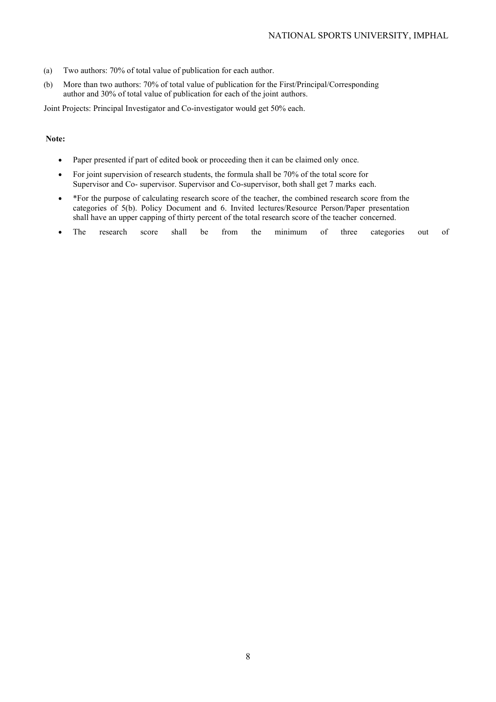- (a) Two authors: 70% of total value of publication for each author.
- (b) More than two authors: 70% of total value of publication for the First/Principal/Corresponding author and 30% of total value of publication for each of the joint authors.

Joint Projects: Principal Investigator and Co-investigator would get 50% each.

#### Note:

- Paper presented if part of edited book or proceeding then it can be claimed only once.
- For joint supervision of research students, the formula shall be 70% of the total score for Supervisor and Co- supervisor. Supervisor and Co-supervisor, both shall get 7 marks each.
- \*For the purpose of calculating research score of the teacher, the combined research score from the categories of 5(b). Policy Document and 6. Invited lectures/Resource Person/Paper presentation shall have an upper capping of thirty percent of the total research score of the teacher concerned.
- The research score shall be from the minimum of three categories out of